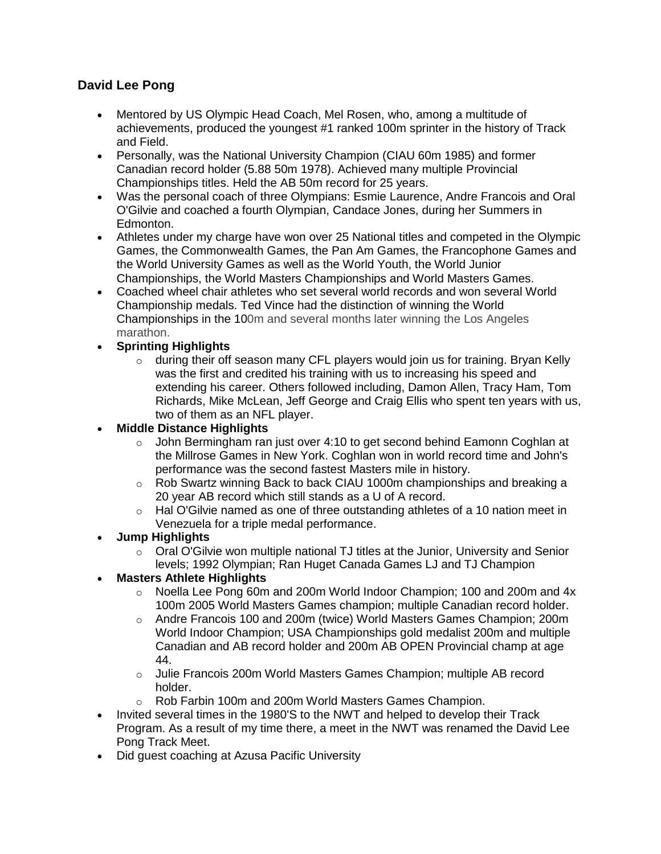## **David Lee Pong**

- Mentored by US Olympic Head Coach, Mel Rosen, who, among a multitude of achievements, produced the youngest #1 ranked 100m sprinter in the history of Track and Field.
- Personally, was the National University Champion (CIAU 60m 1985) and former Canadian record holder (5.88 50m 1978). Achieved many multiple Provincial Championships titles. Held the AB 50m record for 25 years.
- Was the personal coach of three Olympians: Esmie Laurence, Andre Francois and Oral O'Gilvie and coached a fourth Olympian, Candace Jones, during her Summers in Edmonton.
- Athletes under my charge have won over 25 National titles and competed in the Olympic Games, the Commonwealth Games, the Pan Am Games, the Francophone Games and the World University Games as well as the World Youth, the World Junior Championships, the World Masters Championships and World Masters Games.
- Coached wheel chair athletes who set several world records and won several World Championship medals. Ted Vince had the distinction of winning the World Championships in the 100m and several months later winning the Los Angeles marathon.
- **Sprinting Highlights**
	- $\circ$  during their off season many CFL players would join us for training. Bryan Kelly was the first and credited his training with us to increasing his speed and extending his career. Others followed including, Damon Allen, Tracy Ham, Tom Richards, Mike McLean, Jeff George and Craig Ellis who spent ten years with us, two of them as an NFL player.

**Middle Distance Highlights**

- $\circ$  John Bermingham ran just over 4:10 to get second behind Eamonn Coghlan at the Millrose Games in New York. Coghlan won in world record time and John's performance was the second fastest Masters mile in history.
- $\circ$  Rob Swartz winning Back to back CIAU 1000m championships and breaking a 20 year AB record which still stands as a U of A record.
- $\circ$  Hal O'Gilvie named as one of three outstanding athletes of a 10 nation meet in Venezuela for a triple medal performance.
- **Jump Highlights** 
	- $\circ$  Oral O'Gilvie won multiple national TJ titles at the Junior, University and Senior levels; 1992 Olympian; Ran Huget Canada Games LJ and TJ Champion
- **Masters Athlete Highlights** 
	- $\circ$  Noella Lee Pong 60m and 200m World Indoor Champion; 100 and 200m and 4x 100m 2005 World Masters Games champion; multiple Canadian record holder.
	- o Andre Francois 100 and 200m (twice) World Masters Games Champion; 200m World Indoor Champion; USA Championships gold medalist 200m and multiple Canadian and AB record holder and 200m AB OPEN Provincial champ at age 44.
	- o Julie Francois 200m World Masters Games Champion; multiple AB record holder.
	- o Rob Farbin 100m and 200m World Masters Games Champion.
- Invited several times in the 1980'S to the NWT and helped to develop their Track Program. As a result of my time there, a meet in the NWT was renamed the David Lee Pong Track Meet.
- Did guest coaching at Azusa Pacific University